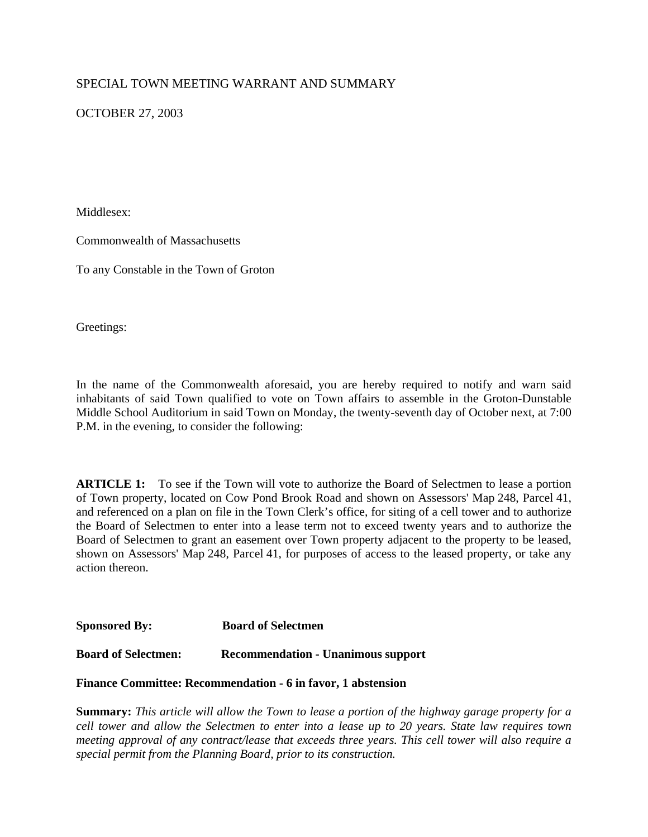## SPECIAL TOWN MEETING WARRANT AND SUMMARY

OCTOBER 27, 2003

Middlesex:

Commonwealth of Massachusetts

To any Constable in the Town of Groton

Greetings:

In the name of the Commonwealth aforesaid, you are hereby required to notify and warn said inhabitants of said Town qualified to vote on Town affairs to assemble in the Groton-Dunstable Middle School Auditorium in said Town on Monday, the twenty-seventh day of October next, at 7:00 P.M. in the evening, to consider the following:

**ARTICLE 1:** To see if the Town will vote to authorize the Board of Selectmen to lease a portion of Town property, located on Cow Pond Brook Road and shown on Assessors' Map 248, Parcel 41, and referenced on a plan on file in the Town Clerk's office, for siting of a cell tower and to authorize the Board of Selectmen to enter into a lease term not to exceed twenty years and to authorize the Board of Selectmen to grant an easement over Town property adjacent to the property to be leased, shown on Assessors' Map 248, Parcel 41, for purposes of access to the leased property, or take any action thereon.

**Sponsored By: Board of Selectmen** 

**Board of Selectmen: Recommendation - Unanimous support**

#### **Finance Committee: Recommendation - 6 in favor, 1 abstension**

**Summary:** *This article will allow the Town to lease a portion of the highway garage property for a cell tower and allow the Selectmen to enter into a lease up to 20 years. State law requires town meeting approval of any contract/lease that exceeds three years. This cell tower will also require a special permit from the Planning Board, prior to its construction.*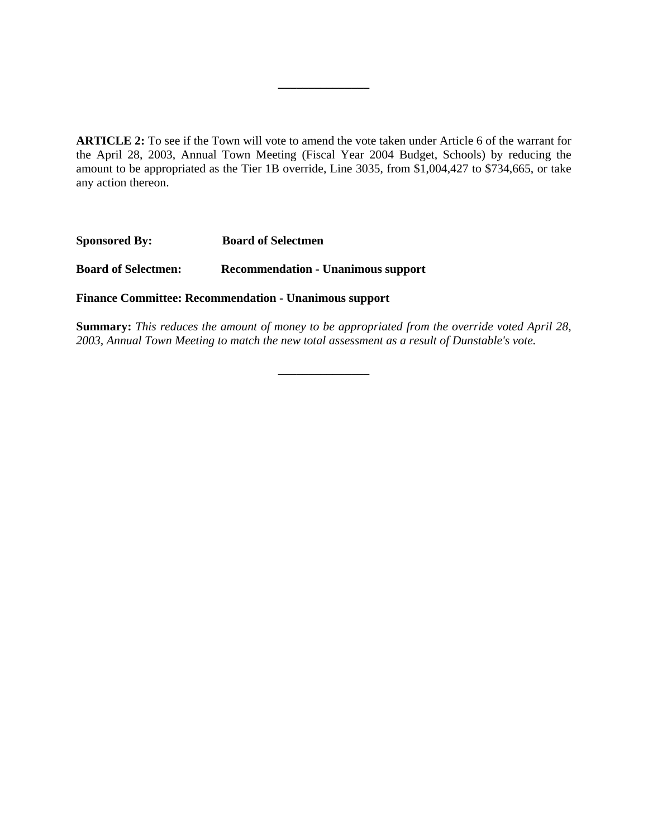**ARTICLE 2:** To see if the Town will vote to amend the vote taken under Article 6 of the warrant for the April 28, 2003, Annual Town Meeting (Fiscal Year 2004 Budget, Schools) by reducing the amount to be appropriated as the Tier 1B override, Line 3035, from \$1,004,427 to \$734,665, or take any action thereon.

**\_\_\_\_\_\_\_\_\_\_\_\_\_\_\_**

**Sponsored By: Board of Selectmen** 

**Board of Selectmen: Recommendation - Unanimous support**

**Finance Committee: Recommendation - Unanimous support** 

**Summary:** *This reduces the amount of money to be appropriated from the override voted April 28, 2003, Annual Town Meeting to match the new total assessment as a result of Dunstable's vote.*

**\_\_\_\_\_\_\_\_\_\_\_\_\_\_\_**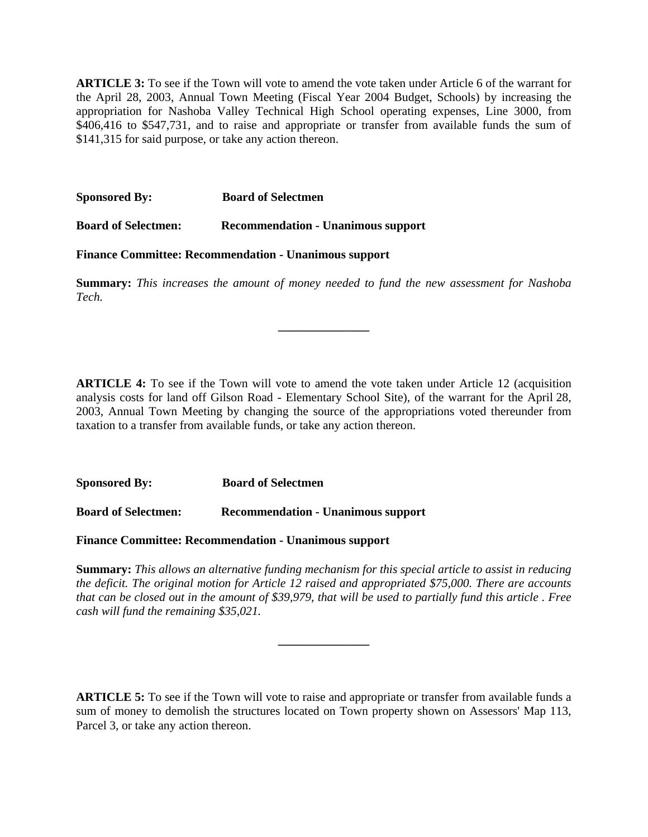**ARTICLE 3:** To see if the Town will vote to amend the vote taken under Article 6 of the warrant for the April 28, 2003, Annual Town Meeting (Fiscal Year 2004 Budget, Schools) by increasing the appropriation for Nashoba Valley Technical High School operating expenses, Line 3000, from \$406,416 to \$547,731, and to raise and appropriate or transfer from available funds the sum of \$141,315 for said purpose, or take any action thereon.

**Sponsored By: Board of Selectmen** 

**Board of Selectmen: Recommendation - Unanimous support**

**Finance Committee: Recommendation - Unanimous support**

**Summary:** *This increases the amount of money needed to fund the new assessment for Nashoba Tech.*

**\_\_\_\_\_\_\_\_\_\_\_\_\_\_\_**

**ARTICLE 4:** To see if the Town will vote to amend the vote taken under Article 12 (acquisition analysis costs for land off Gilson Road - Elementary School Site), of the warrant for the April 28, 2003, Annual Town Meeting by changing the source of the appropriations voted thereunder from taxation to a transfer from available funds, or take any action thereon.

**Sponsored By: Board of Selectmen** 

**Board of Selectmen: Recommendation - Unanimous support**

**Finance Committee: Recommendation - Unanimous support**

**Summary:** *This allows an alternative funding mechanism for this special article to assist in reducing the deficit. The original motion for Article 12 raised and appropriated \$75,000. There are accounts that can be closed out in the amount of \$39,979, that will be used to partially fund this article . Free cash will fund the remaining \$35,021.* 

**\_\_\_\_\_\_\_\_\_\_\_\_\_\_\_**

**ARTICLE 5:** To see if the Town will vote to raise and appropriate or transfer from available funds a sum of money to demolish the structures located on Town property shown on Assessors' Map 113, Parcel 3, or take any action thereon.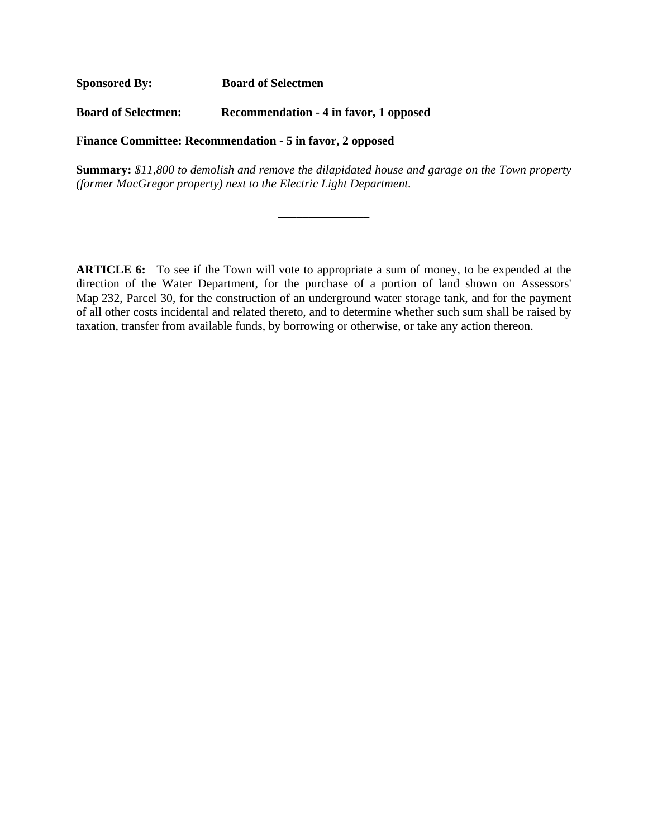**Sponsored By: Board of Selectmen** 

**Board of Selectmen: Recommendation - 4 in favor, 1 opposed**

**Finance Committee: Recommendation - 5 in favor, 2 opposed**

**Summary:** *\$11,800 to demolish and remove the dilapidated house and garage on the Town property (former MacGregor property) next to the Electric Light Department.* 

**\_\_\_\_\_\_\_\_\_\_\_\_\_\_\_**

**ARTICLE 6:** To see if the Town will vote to appropriate a sum of money, to be expended at the direction of the Water Department, for the purchase of a portion of land shown on Assessors' Map 232, Parcel 30, for the construction of an underground water storage tank, and for the payment of all other costs incidental and related thereto, and to determine whether such sum shall be raised by taxation, transfer from available funds, by borrowing or otherwise, or take any action thereon.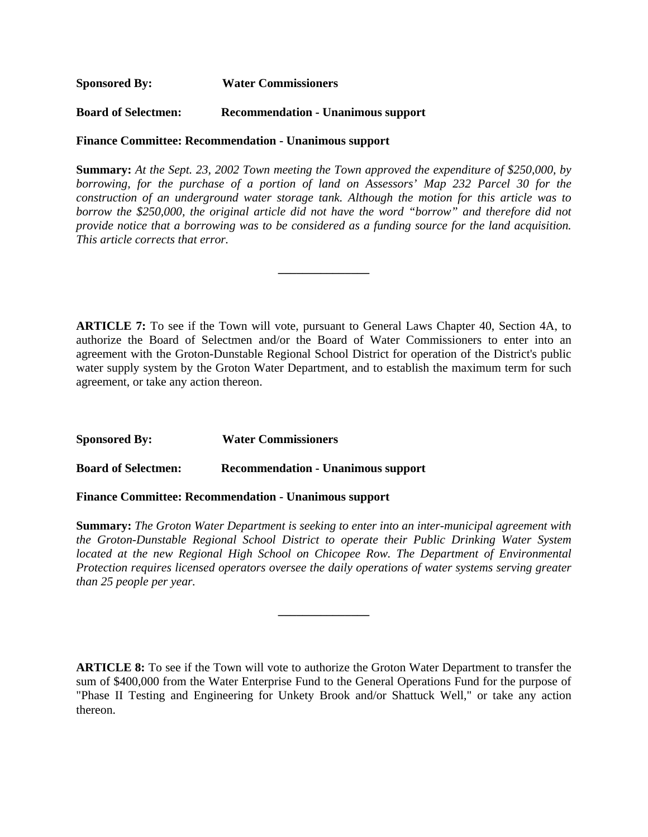**Sponsored By: Water Commissioners**

**Board of Selectmen: Recommendation - Unanimous support**

**Finance Committee: Recommendation - Unanimous support**

**Summary:** *At the Sept. 23, 2002 Town meeting the Town approved the expenditure of \$250,000, by borrowing, for the purchase of a portion of land on Assessors' Map 232 Parcel 30 for the construction of an underground water storage tank. Although the motion for this article was to borrow the \$250,000, the original article did not have the word "borrow" and therefore did not provide notice that a borrowing was to be considered as a funding source for the land acquisition. This article corrects that error.* 

**\_\_\_\_\_\_\_\_\_\_\_\_\_\_\_**

**ARTICLE 7:** To see if the Town will vote, pursuant to General Laws Chapter 40, Section 4A, to authorize the Board of Selectmen and/or the Board of Water Commissioners to enter into an agreement with the Groton-Dunstable Regional School District for operation of the District's public water supply system by the Groton Water Department, and to establish the maximum term for such agreement, or take any action thereon.

**Sponsored By: Water Commissioners** 

**Board of Selectmen: Recommendation - Unanimous support**

**Finance Committee: Recommendation - Unanimous support**

**Summary:** *The Groton Water Department is seeking to enter into an inter-municipal agreement with the Groton-Dunstable Regional School District to operate their Public Drinking Water System located at the new Regional High School on Chicopee Row. The Department of Environmental Protection requires licensed operators oversee the daily operations of water systems serving greater than 25 people per year.*

**\_\_\_\_\_\_\_\_\_\_\_\_\_\_\_**

**ARTICLE 8:** To see if the Town will vote to authorize the Groton Water Department to transfer the sum of \$400,000 from the Water Enterprise Fund to the General Operations Fund for the purpose of "Phase II Testing and Engineering for Unkety Brook and/or Shattuck Well," or take any action thereon.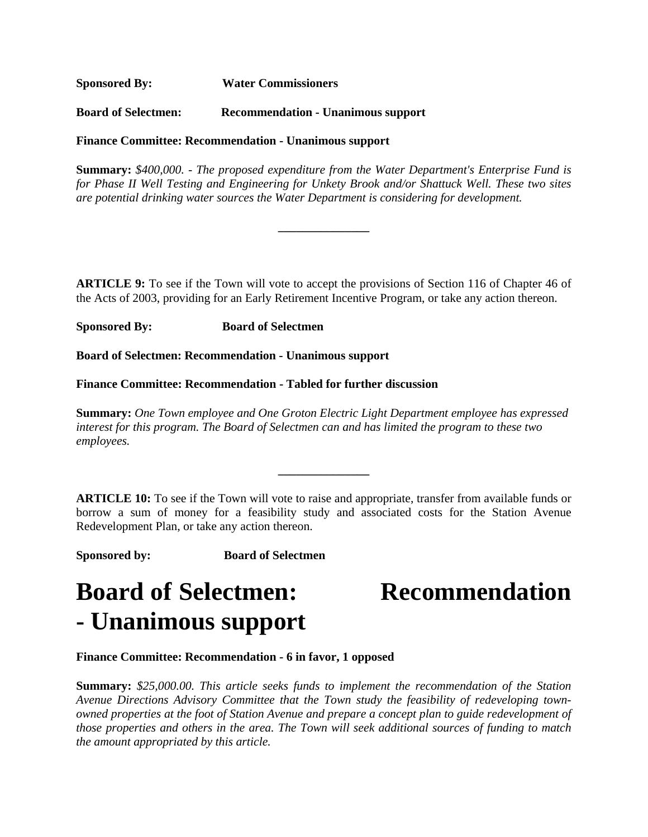**Sponsored By: Water Commissioners** 

**Board of Selectmen: Recommendation - Unanimous support**

**Finance Committee: Recommendation - Unanimous support**

**Summary:** *\$400,000. - The proposed expenditure from the Water Department's Enterprise Fund is for Phase II Well Testing and Engineering for Unkety Brook and/or Shattuck Well. These two sites are potential drinking water sources the Water Department is considering for development.* 

**\_\_\_\_\_\_\_\_\_\_\_\_\_\_\_**

**ARTICLE 9:** To see if the Town will vote to accept the provisions of Section 116 of Chapter 46 of the Acts of 2003, providing for an Early Retirement Incentive Program, or take any action thereon.

**Sponsored By: Board of Selectmen**

**Board of Selectmen: Recommendation - Unanimous support**

**Finance Committee: Recommendation - Tabled for further discussion**

**Summary:** *One Town employee and One Groton Electric Light Department employee has expressed interest for this program. The Board of Selectmen can and has limited the program to these two employees.*

**\_\_\_\_\_\_\_\_\_\_\_\_\_\_\_**

**ARTICLE 10:** To see if the Town will vote to raise and appropriate, transfer from available funds or borrow a sum of money for a feasibility study and associated costs for the Station Avenue Redevelopment Plan, or take any action thereon.

**Sponsored by: Board of Selectmen**

# **Board of Selectmen: Recommendation - Unanimous support**

### **Finance Committee: Recommendation - 6 in favor, 1 opposed**

**Summary:** *\$25,000.00. This article seeks funds to implement the recommendation of the Station Avenue Directions Advisory Committee that the Town study the feasibility of redeveloping townowned properties at the foot of Station Avenue and prepare a concept plan to guide redevelopment of those properties and others in the area. The Town will seek additional sources of funding to match the amount appropriated by this article.*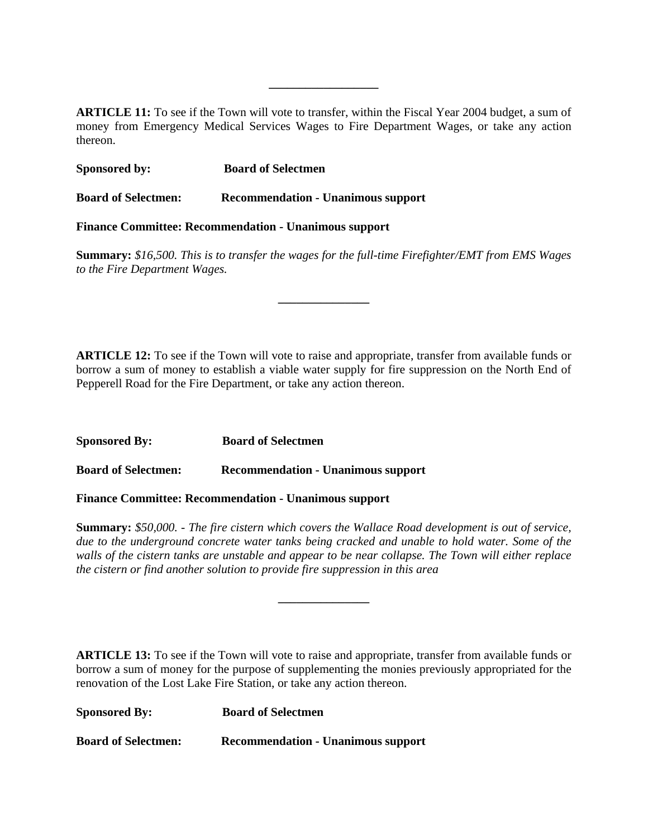**ARTICLE 11:** To see if the Town will vote to transfer, within the Fiscal Year 2004 budget, a sum of money from Emergency Medical Services Wages to Fire Department Wages, or take any action thereon.

**\_\_\_\_\_\_\_\_\_\_\_\_\_\_\_\_\_\_**

| <b>Sponsored by:</b>                                         | <b>Board of Selectmen</b>                 |  |
|--------------------------------------------------------------|-------------------------------------------|--|
| <b>Board of Selectmen:</b>                                   | <b>Recommendation - Unanimous support</b> |  |
| <b>Finance Committee: Recommendation - Unanimous support</b> |                                           |  |

**Summary:** *\$16,500. This is to transfer the wages for the full-time Firefighter/EMT from EMS Wages to the Fire Department Wages.*

**\_\_\_\_\_\_\_\_\_\_\_\_\_\_\_**

**ARTICLE 12:** To see if the Town will vote to raise and appropriate, transfer from available funds or borrow a sum of money to establish a viable water supply for fire suppression on the North End of Pepperell Road for the Fire Department, or take any action thereon.

**Sponsored By: Board of Selectmen Board of Selectmen: Recommendation - Unanimous support**

**Finance Committee: Recommendation - Unanimous support**

**Summary:** *\$50,000. - The fire cistern which covers the Wallace Road development is out of service, due to the underground concrete water tanks being cracked and unable to hold water. Some of the walls of the cistern tanks are unstable and appear to be near collapse. The Town will either replace the cistern or find another solution to provide fire suppression in this area*

**\_\_\_\_\_\_\_\_\_\_\_\_\_\_\_**

**ARTICLE 13:** To see if the Town will vote to raise and appropriate, transfer from available funds or borrow a sum of money for the purpose of supplementing the monies previously appropriated for the renovation of the Lost Lake Fire Station, or take any action thereon.

| <b>Sponsored By:</b>       | <b>Board of Selectmen</b>                 |
|----------------------------|-------------------------------------------|
| <b>Board of Selectmen:</b> | <b>Recommendation - Unanimous support</b> |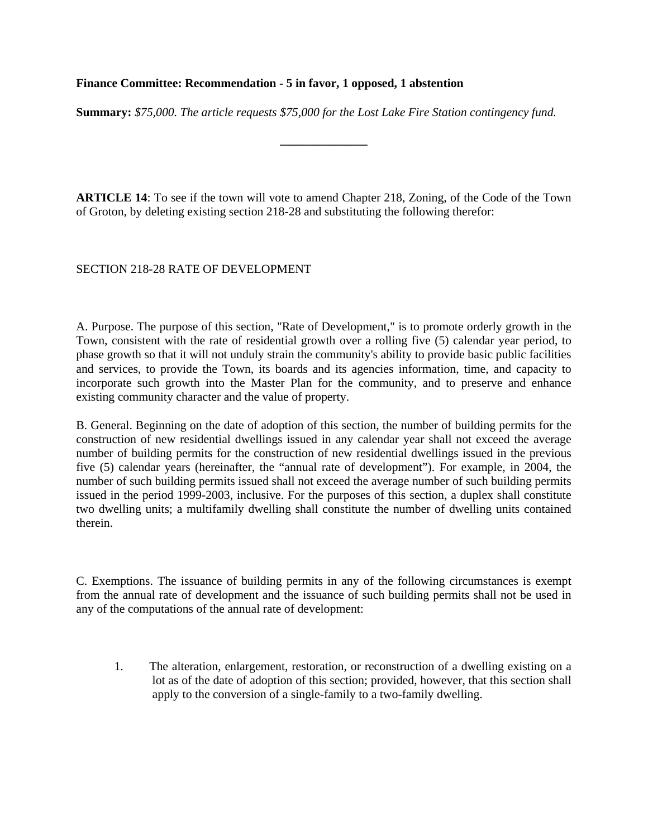#### **Finance Committee: Recommendation - 5 in favor, 1 opposed, 1 abstention**

**Summary:** *\$75,000. The article requests \$75,000 for the Lost Lake Fire Station contingency fund.*

**\_\_\_\_\_\_\_\_\_\_\_\_\_\_\_**

**ARTICLE 14**: To see if the town will vote to amend Chapter 218, Zoning, of the Code of the Town of Groton, by deleting existing section 218-28 and substituting the following therefor:

#### SECTION 218-28 RATE OF DEVELOPMENT

A. Purpose. The purpose of this section, "Rate of Development," is to promote orderly growth in the Town, consistent with the rate of residential growth over a rolling five (5) calendar year period, to phase growth so that it will not unduly strain the community's ability to provide basic public facilities and services, to provide the Town, its boards and its agencies information, time, and capacity to incorporate such growth into the Master Plan for the community, and to preserve and enhance existing community character and the value of property.

B. General. Beginning on the date of adoption of this section, the number of building permits for the construction of new residential dwellings issued in any calendar year shall not exceed the average number of building permits for the construction of new residential dwellings issued in the previous five (5) calendar years (hereinafter, the "annual rate of development"). For example, in 2004, the number of such building permits issued shall not exceed the average number of such building permits issued in the period 1999-2003, inclusive. For the purposes of this section, a duplex shall constitute two dwelling units; a multifamily dwelling shall constitute the number of dwelling units contained therein.

C. Exemptions. The issuance of building permits in any of the following circumstances is exempt from the annual rate of development and the issuance of such building permits shall not be used in any of the computations of the annual rate of development:

1. The alteration, enlargement, restoration, or reconstruction of a dwelling existing on a lot as of the date of adoption of this section; provided, however, that this section shall apply to the conversion of a single-family to a two-family dwelling.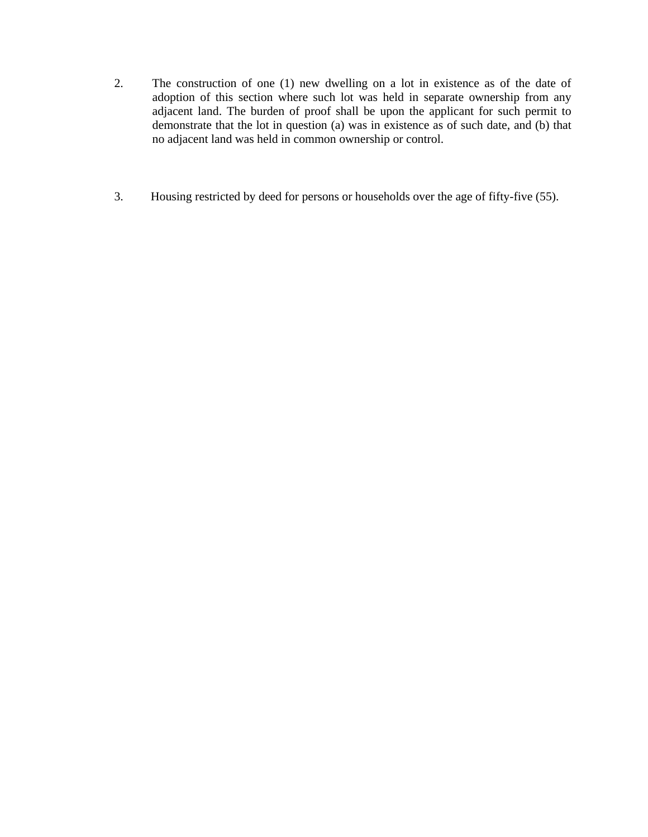- 2. The construction of one (1) new dwelling on a lot in existence as of the date of adoption of this section where such lot was held in separate ownership from any adjacent land. The burden of proof shall be upon the applicant for such permit to demonstrate that the lot in question (a) was in existence as of such date, and (b) that no adjacent land was held in common ownership or control.
- 3. Housing restricted by deed for persons or households over the age of fifty-five (55).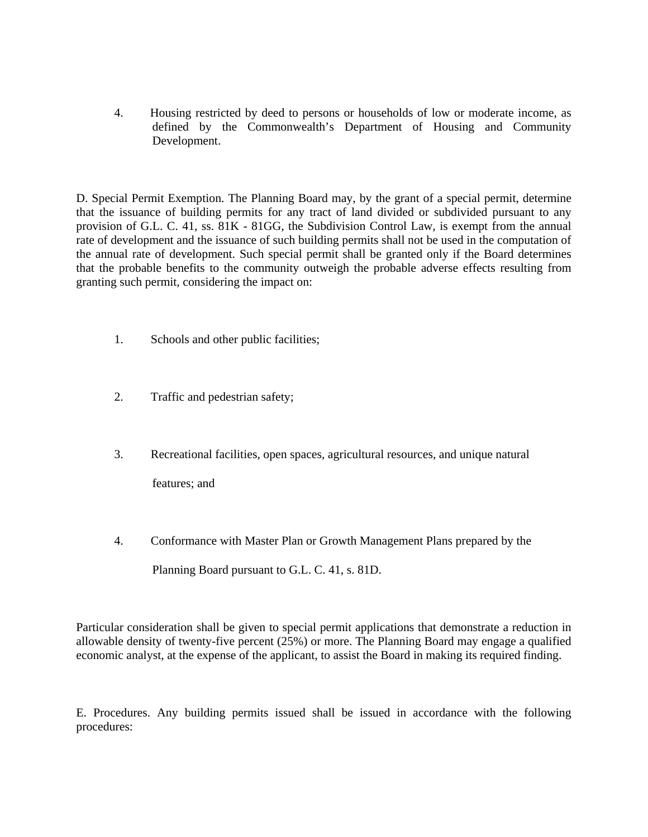4. Housing restricted by deed to persons or households of low or moderate income, as defined by the Commonwealth's Department of Housing and Community Development.

D. Special Permit Exemption. The Planning Board may, by the grant of a special permit, determine that the issuance of building permits for any tract of land divided or subdivided pursuant to any provision of G.L. C. 41, ss. 81K - 81GG, the Subdivision Control Law, is exempt from the annual rate of development and the issuance of such building permits shall not be used in the computation of the annual rate of development. Such special permit shall be granted only if the Board determines that the probable benefits to the community outweigh the probable adverse effects resulting from granting such permit, considering the impact on:

- 1. Schools and other public facilities;
- 2. Traffic and pedestrian safety;
- 3. Recreational facilities, open spaces, agricultural resources, and unique natural features; and
- 4. Conformance with Master Plan or Growth Management Plans prepared by the Planning Board pursuant to G.L. C. 41, s. 81D.

Particular consideration shall be given to special permit applications that demonstrate a reduction in allowable density of twenty-five percent (25%) or more. The Planning Board may engage a qualified economic analyst, at the expense of the applicant, to assist the Board in making its required finding.

E. Procedures. Any building permits issued shall be issued in accordance with the following procedures: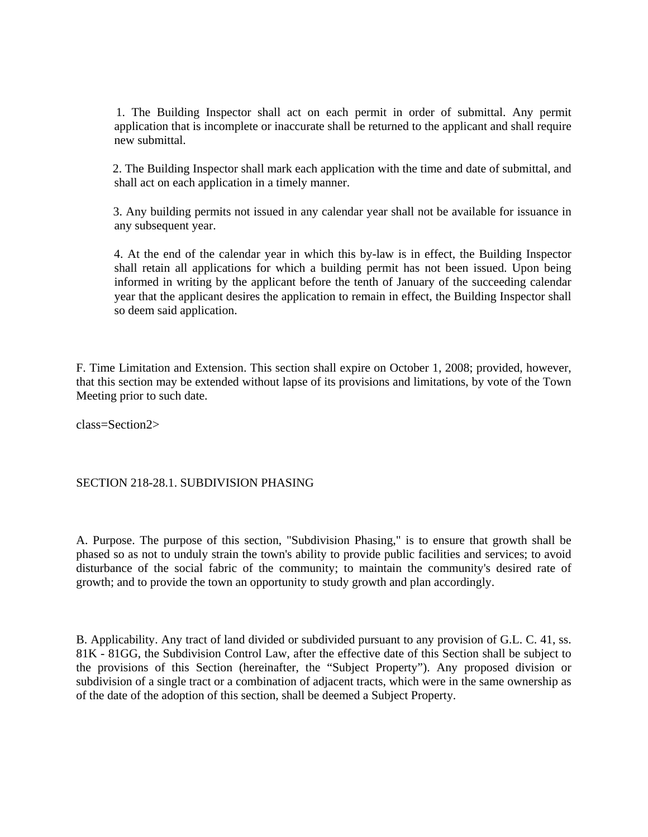1. The Building Inspector shall act on each permit in order of submittal. Any permit application that is incomplete or inaccurate shall be returned to the applicant and shall require new submittal.

 2. The Building Inspector shall mark each application with the time and date of submittal, and shall act on each application in a timely manner.

 3. Any building permits not issued in any calendar year shall not be available for issuance in any subsequent year.

 4. At the end of the calendar year in which this by-law is in effect, the Building Inspector shall retain all applications for which a building permit has not been issued. Upon being informed in writing by the applicant before the tenth of January of the succeeding calendar year that the applicant desires the application to remain in effect, the Building Inspector shall so deem said application.

F. Time Limitation and Extension. This section shall expire on October 1, 2008; provided, however, that this section may be extended without lapse of its provisions and limitations, by vote of the Town Meeting prior to such date.

class=Section2>

#### SECTION 218-28.1. SUBDIVISION PHASING

A. Purpose. The purpose of this section, "Subdivision Phasing," is to ensure that growth shall be phased so as not to unduly strain the town's ability to provide public facilities and services; to avoid disturbance of the social fabric of the community; to maintain the community's desired rate of growth; and to provide the town an opportunity to study growth and plan accordingly.

B. Applicability. Any tract of land divided or subdivided pursuant to any provision of G.L. C. 41, ss. 81K - 81GG, the Subdivision Control Law, after the effective date of this Section shall be subject to the provisions of this Section (hereinafter, the "Subject Property"). Any proposed division or subdivision of a single tract or a combination of adjacent tracts, which were in the same ownership as of the date of the adoption of this section, shall be deemed a Subject Property.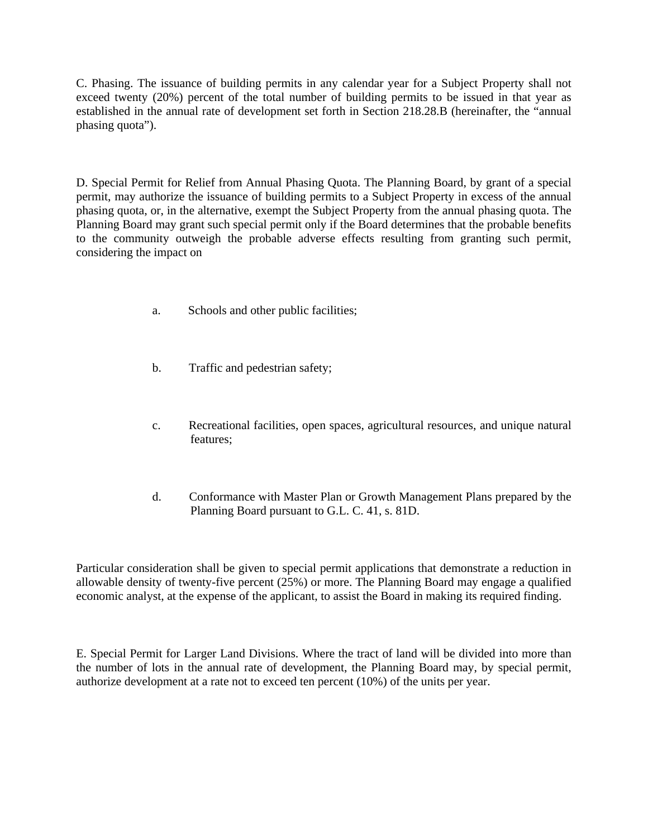C. Phasing. The issuance of building permits in any calendar year for a Subject Property shall not exceed twenty (20%) percent of the total number of building permits to be issued in that year as established in the annual rate of development set forth in Section 218.28.B (hereinafter, the "annual phasing quota").

D. Special Permit for Relief from Annual Phasing Quota. The Planning Board, by grant of a special permit, may authorize the issuance of building permits to a Subject Property in excess of the annual phasing quota, or, in the alternative, exempt the Subject Property from the annual phasing quota. The Planning Board may grant such special permit only if the Board determines that the probable benefits to the community outweigh the probable adverse effects resulting from granting such permit, considering the impact on

- a. Schools and other public facilities;
- b. Traffic and pedestrian safety;
- c. Recreational facilities, open spaces, agricultural resources, and unique natural features;
- d. Conformance with Master Plan or Growth Management Plans prepared by the Planning Board pursuant to G.L. C. 41, s. 81D.

Particular consideration shall be given to special permit applications that demonstrate a reduction in allowable density of twenty-five percent (25%) or more. The Planning Board may engage a qualified economic analyst, at the expense of the applicant, to assist the Board in making its required finding.

E. Special Permit for Larger Land Divisions. Where the tract of land will be divided into more than the number of lots in the annual rate of development, the Planning Board may, by special permit, authorize development at a rate not to exceed ten percent (10%) of the units per year.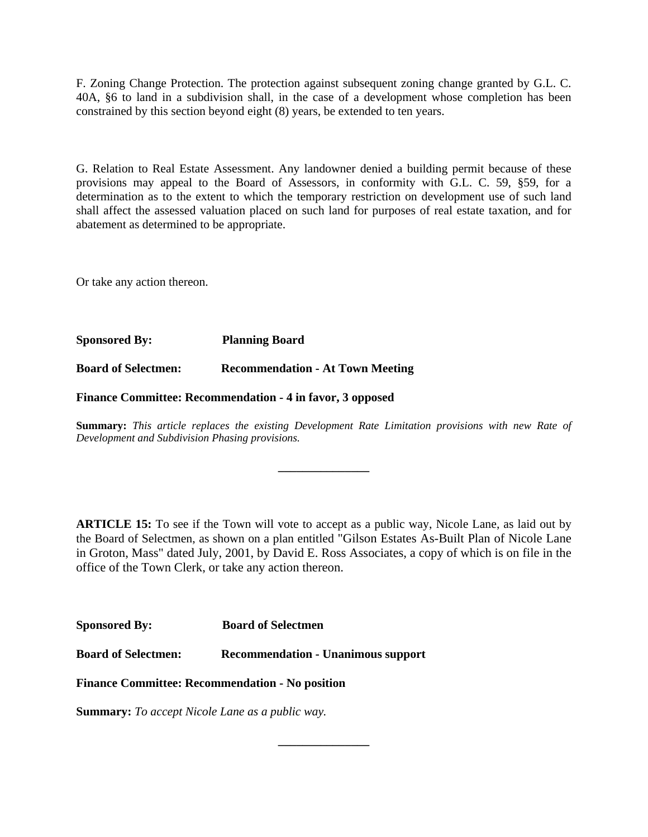F. Zoning Change Protection. The protection against subsequent zoning change granted by G.L. C. 40A, §6 to land in a subdivision shall, in the case of a development whose completion has been constrained by this section beyond eight (8) years, be extended to ten years.

G. Relation to Real Estate Assessment. Any landowner denied a building permit because of these provisions may appeal to the Board of Assessors, in conformity with G.L. C. 59, §59, for a determination as to the extent to which the temporary restriction on development use of such land shall affect the assessed valuation placed on such land for purposes of real estate taxation, and for abatement as determined to be appropriate.

Or take any action thereon.

**Sponsored By: Planning Board** 

**Board of Selectmen: Recommendation - At Town Meeting**

**Finance Committee: Recommendation - 4 in favor, 3 opposed** 

**Summary:** *This article replaces the existing Development Rate Limitation provisions with new Rate of Development and Subdivision Phasing provisions.*

**\_\_\_\_\_\_\_\_\_\_\_\_\_\_\_**

**ARTICLE 15:** To see if the Town will vote to accept as a public way, Nicole Lane, as laid out by the Board of Selectmen, as shown on a plan entitled "Gilson Estates As-Built Plan of Nicole Lane in Groton, Mass" dated July, 2001, by David E. Ross Associates, a copy of which is on file in the office of the Town Clerk, or take any action thereon.

**\_\_\_\_\_\_\_\_\_\_\_\_\_\_\_**

**Sponsored By: Board of Selectmen**

**Board of Selectmen: Recommendation - Unanimous support**

**Finance Committee: Recommendation - No position**

**Summary:** *To accept Nicole Lane as a public way.*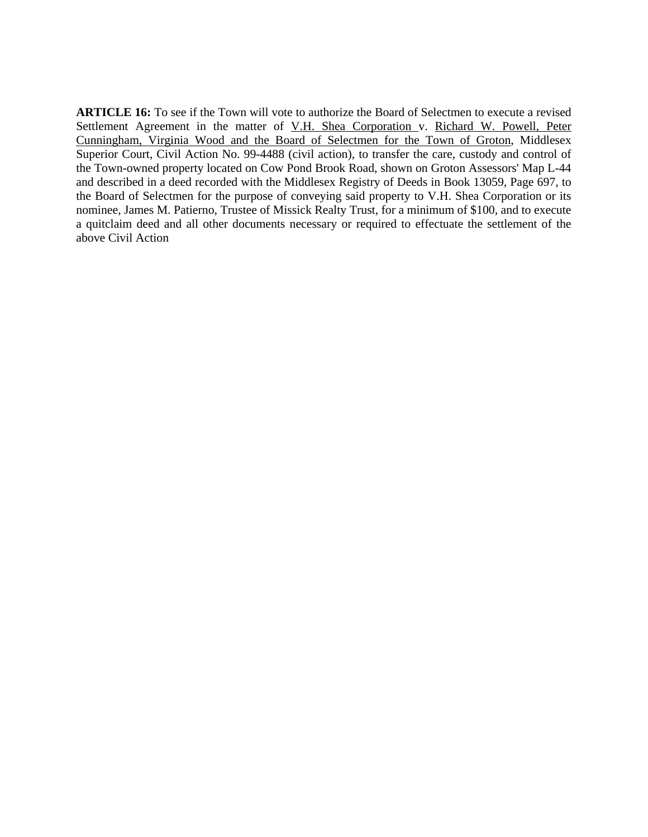**ARTICLE 16:** To see if the Town will vote to authorize the Board of Selectmen to execute a revised Settlement Agreement in the matter of V.H. Shea Corporation v. Richard W. Powell, Peter Cunningham, Virginia Wood and the Board of Selectmen for the Town of Groton, Middlesex Superior Court, Civil Action No. 99-4488 (civil action), to transfer the care, custody and control of the Town-owned property located on Cow Pond Brook Road, shown on Groton Assessors' Map L-44 and described in a deed recorded with the Middlesex Registry of Deeds in Book 13059, Page 697, to the Board of Selectmen for the purpose of conveying said property to V.H. Shea Corporation or its nominee, James M. Patierno, Trustee of Missick Realty Trust, for a minimum of \$100, and to execute a quitclaim deed and all other documents necessary or required to effectuate the settlement of the above Civil Action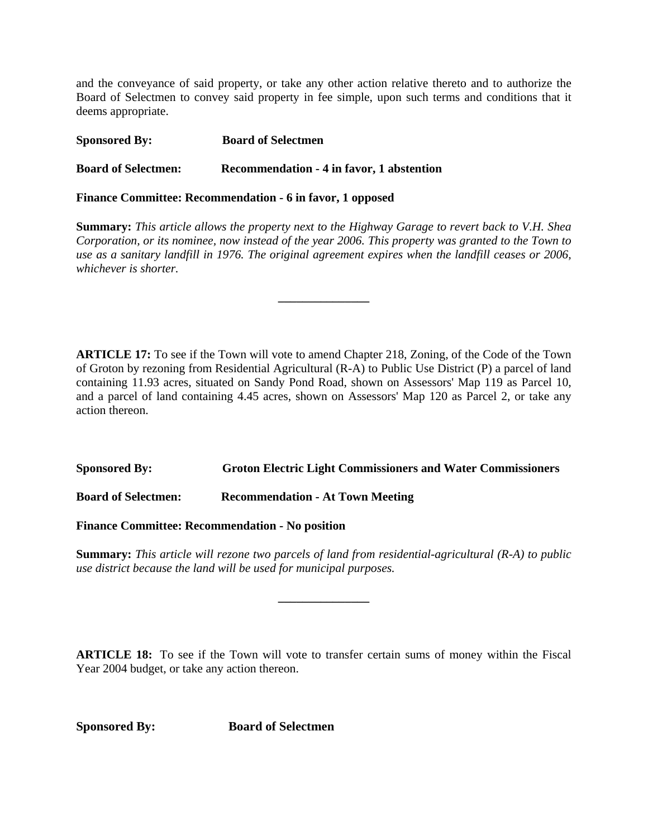and the conveyance of said property, or take any other action relative thereto and to authorize the Board of Selectmen to convey said property in fee simple, upon such terms and conditions that it deems appropriate.

| <b>Sponsored By:</b>       | <b>Board of Selectmen</b>                 |
|----------------------------|-------------------------------------------|
| <b>Board of Selectmen:</b> | Recommendation - 4 in favor, 1 abstention |

**Finance Committee: Recommendation - 6 in favor, 1 opposed**

**Summary:** *This article allows the property next to the Highway Garage to revert back to V.H. Shea Corporation, or its nominee, now instead of the year 2006. This property was granted to the Town to use as a sanitary landfill in 1976. The original agreement expires when the landfill ceases or 2006, whichever is shorter.*

**\_\_\_\_\_\_\_\_\_\_\_\_\_\_\_**

**ARTICLE 17:** To see if the Town will vote to amend Chapter 218, Zoning, of the Code of the Town of Groton by rezoning from Residential Agricultural (R-A) to Public Use District (P) a parcel of land containing 11.93 acres, situated on Sandy Pond Road, shown on Assessors' Map 119 as Parcel 10, and a parcel of land containing 4.45 acres, shown on Assessors' Map 120 as Parcel 2, or take any action thereon.

### **Sponsored By: Groton Electric Light Commissioners and Water Commissioners**

**Board of Selectmen: Recommendation - At Town Meeting**

**Finance Committee: Recommendation - No position**

**Summary:** *This article will rezone two parcels of land from residential-agricultural (R-A) to public use district because the land will be used for municipal purposes.*

**\_\_\_\_\_\_\_\_\_\_\_\_\_\_\_**

**ARTICLE 18:** To see if the Town will vote to transfer certain sums of money within the Fiscal Year 2004 budget, or take any action thereon.

**Sponsored By: Board of Selectmen**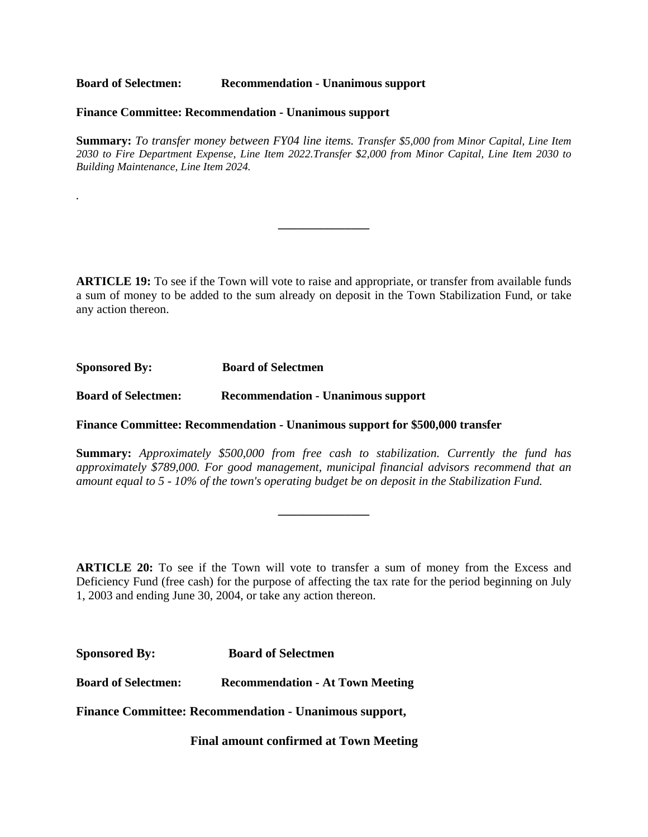**Board of Selectmen: Recommendation - Unanimous support**

#### **Finance Committee: Recommendation - Unanimous support**

**Summary:** *To transfer money between FY04 line items. Transfer \$5,000 from Minor Capital, Line Item 2030 to Fire Department Expense, Line Item 2022.Transfer \$2,000 from Minor Capital, Line Item 2030 to Building Maintenance, Line Item 2024.*

**\_\_\_\_\_\_\_\_\_\_\_\_\_\_\_**

**ARTICLE 19:** To see if the Town will vote to raise and appropriate, or transfer from available funds a sum of money to be added to the sum already on deposit in the Town Stabilization Fund, or take any action thereon.

**Sponsored By: Board of Selectmen** 

*.*

**Board of Selectmen: Recommendation - Unanimous support**

**Finance Committee: Recommendation - Unanimous support for \$500,000 transfer** 

**Summary:** *Approximately \$500,000 from free cash to stabilization. Currently the fund has approximately \$789,000. For good management, municipal financial advisors recommend that an amount equal to 5 - 10% of the town's operating budget be on deposit in the Stabilization Fund.*

**\_\_\_\_\_\_\_\_\_\_\_\_\_\_\_**

**ARTICLE 20:** To see if the Town will vote to transfer a sum of money from the Excess and Deficiency Fund (free cash) for the purpose of affecting the tax rate for the period beginning on July 1, 2003 and ending June 30, 2004, or take any action thereon.

| <b>Sponsored By:</b> | <b>Board of Selectmen</b> |
|----------------------|---------------------------|
|----------------------|---------------------------|

**Board of Selectmen: Recommendation - At Town Meeting**

**Finance Committee: Recommendation - Unanimous support,** 

**Final amount confirmed at Town Meeting**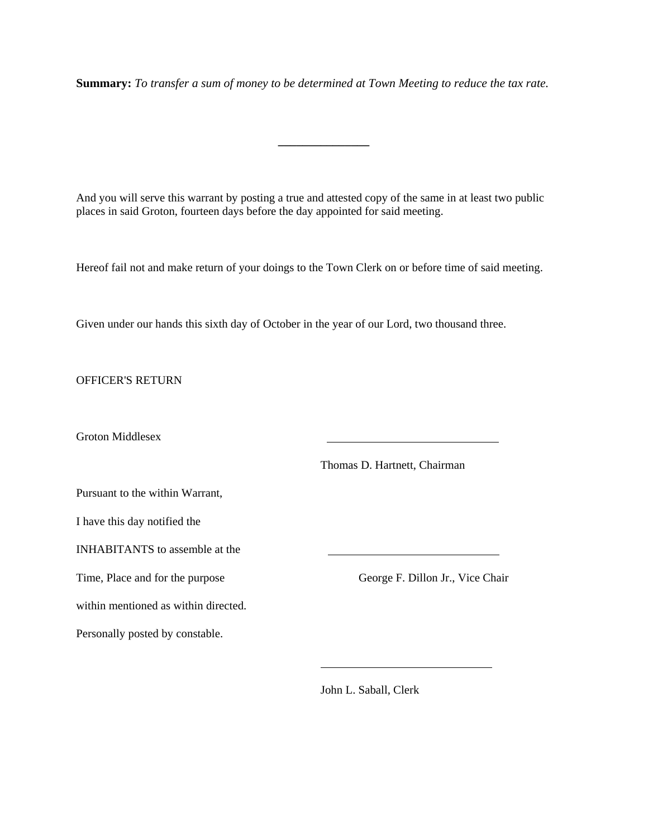**Summary:** *To transfer a sum of money to be determined at Town Meeting to reduce the tax rate.* 

**\_\_\_\_\_\_\_\_\_\_\_\_\_\_\_**

And you will serve this warrant by posting a true and attested copy of the same in at least two public places in said Groton, fourteen days before the day appointed for said meeting.

Hereof fail not and make return of your doings to the Town Clerk on or before time of said meeting.

Given under our hands this sixth day of October in the year of our Lord, two thousand three.

OFFICER'S RETURN

Groton Middlesex

Thomas D. Hartnett, Chairman

Pursuant to the within Warrant,

I have this day notified the

INHABITANTS to assemble at the

within mentioned as within directed.

Personally posted by constable.

Time, Place and for the purpose George F. Dillon Jr., Vice Chair

John L. Saball, Clerk